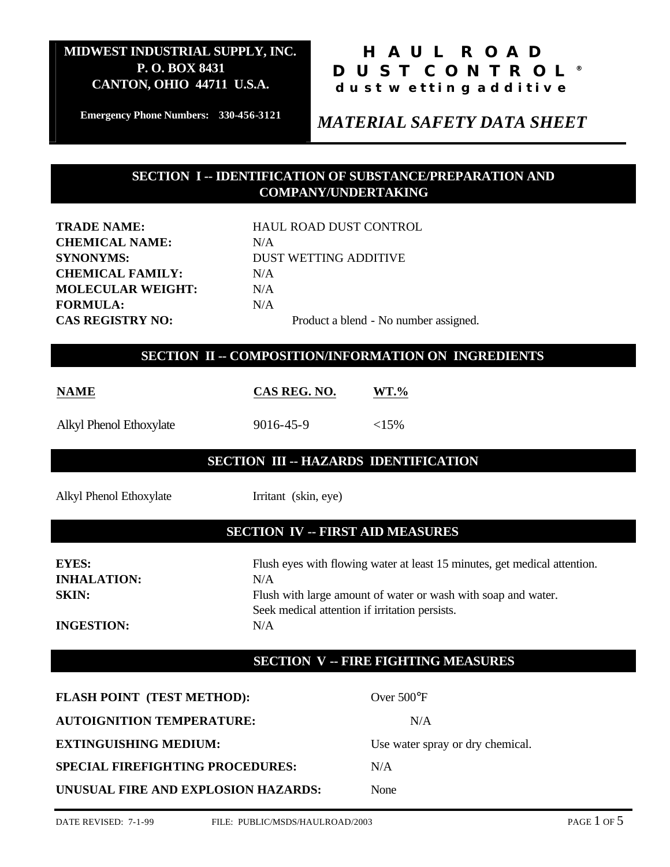## **HAUL ROAD DUST CONTROL® dust wetting additive**

**Emergency Phone Numbers: 330-456-3121**

## *MATERIAL SAFETY DATA SHEET*

### **SECTION I -- IDENTIFICATION OF SUBSTANCE/PREPARATION AND COMPANY/UNDERTAKING**

| <b>TRADE NAME:</b>       | <b>HAUL ROAD DUST CO</b> |
|--------------------------|--------------------------|
| <b>CHEMICAL NAME:</b>    | N/A                      |
| <b>SYNONYMS:</b>         | <b>DUST WETTING ADD</b>  |
| <b>CHEMICAL FAMILY:</b>  | N/A                      |
| <b>MOLECULAR WEIGHT:</b> | N/A                      |
| <b>FORMULA:</b>          | N/A                      |
| <b>CAS REGISTRY NO:</b>  | Product a blend -        |
|                          |                          |

**HAUL ROAD DUST CONTROL DUST WETTING ADDITIVE** Product a blend - No number assigned.

#### **SECTION II -- COMPOSITION/INFORMATION ON INGREDIENTS**

| <b>NAME</b>             | CAS REG. NO. | WT.%      |
|-------------------------|--------------|-----------|
| Alkyl Phenol Ethoxylate | 9016-45-9    | ${<}15\%$ |

#### **SECTION III -- HAZARDS IDENTIFICATION**

Alkyl Phenol Ethoxylate Irritant (skin, eye)

### **SECTION IV -- FIRST AID MEASURES**

**INHALATION:** N/A

**EYES:** Flush eyes with flowing water at least 15 minutes, get medical attention. **SKIN:** Flush with large amount of water or wash with soap and water. Seek medical attention if irritation persists. **INGESTION:** N/A

### **SECTION V -- FIRE FIGHTING MEASURES**

| <b>FLASH POINT (TEST METHOD):</b>       | Over $500^{\circ}$ F             |
|-----------------------------------------|----------------------------------|
| <b>AUTOIGNITION TEMPERATURE:</b>        | N/A                              |
| <b>EXTINGUISHING MEDIUM:</b>            | Use water spray or dry chemical. |
| <b>SPECIAL FIREFIGHTING PROCEDURES:</b> | N/A                              |
| UNUSUAL FIRE AND EXPLOSION HAZARDS:     | None                             |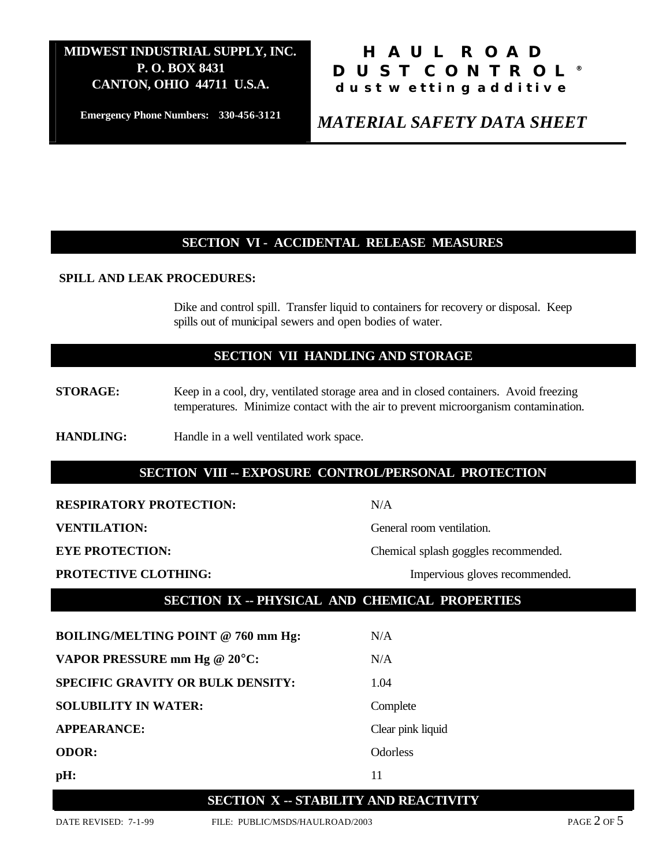**Emergency Phone Numbers: 330-456-3121**

## **HAUL ROAD DUST CONTROL® dust wetting additive**

*MATERIAL SAFETY DATA SHEET*

### **SECTION VI - ACCIDENTAL RELEASE MEASURES**

#### **SPILL AND LEAK PROCEDURES:**

Dike and control spill. Transfer liquid to containers for recovery or disposal. Keep spills out of municipal sewers and open bodies of water.

#### **SECTION VII HANDLING AND STORAGE**

- **STORAGE:** Keep in a cool, dry, ventilated storage area and in closed containers. Avoid freezing temperatures. Minimize contact with the air to prevent microorganism contamination.
- **HANDLING:** Handle in a well ventilated work space.

#### **SECTION VIII -- EXPOSURE CONTROL/PERSONAL PROTECTION**

**RESPIRATORY PROTECTION:** N/A

**VENTILATION:** General room ventilation.

**EYE PROTECTION:** Chemical splash goggles recommended.

**PROTECTIVE CLOTHING:** Impervious gloves recommended.

#### **SECTION IX -- PHYSICAL AND CHEMICAL PROPERTIES**

**BOILING/MELTING POINT @ 760 mm Hg:** N/A **VAPOR PRESSURE mm Hg @ 20°C:** N/A **SPECIFIC GRAVITY OR BULK DENSITY:** 1.04 **SOLUBILITY IN WATER:** Complete **APPEARANCE:** Clear pink liquid **ODOR:** Odorless **pH:** 11

# **SECTION X -- STABILITY AND REACTIVITY**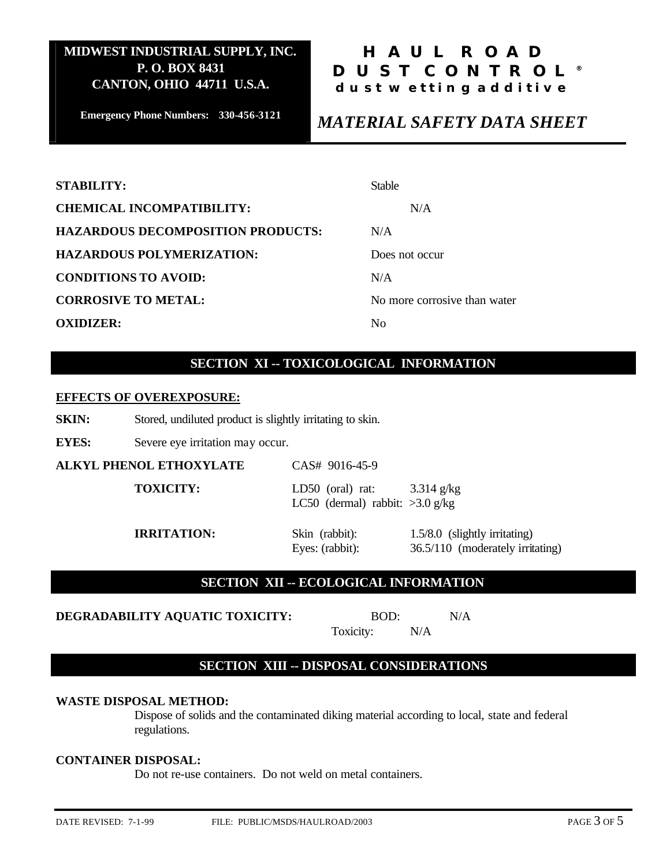**Emergency Phone Numbers: 330-456-3121**

## **HAUL ROAD DUST CONTROL® dust wetting additive**

## *MATERIAL SAFETY DATA SHEET*

| <b>STABILITY:</b>                        | <b>Stable</b>                |
|------------------------------------------|------------------------------|
| <b>CHEMICAL INCOMPATIBILITY:</b>         | N/A                          |
| <b>HAZARDOUS DECOMPOSITION PRODUCTS:</b> | N/A                          |
| <b>HAZARDOUS POLYMERIZATION:</b>         | Does not occur               |
| <b>CONDITIONS TO AVOID:</b>              | N/A                          |
| <b>CORROSIVE TO METAL:</b>               | No more corrosive than water |
| <b>OXIDIZER:</b>                         | No                           |

### **SECTION XI -- TOXICOLOGICAL INFORMATION**

#### **EFFECTS OF OVEREXPOSURE:**

**SKIN:** Stored, undiluted product is slightly irritating to skin.

**EYES:** Severe eye irritation may occur.

| ALKYL PHENOL ETHOXYLATE | CAS# 9016-45-9                                                             |                                                                   |
|-------------------------|----------------------------------------------------------------------------|-------------------------------------------------------------------|
| <b>TOXICITY:</b>        | LD50 (oral) rat: $3.314 \text{ g/kg}$<br>LC50 (dermal) rabbit: $>3.0$ g/kg |                                                                   |
| <b>IRRITATION:</b>      | Skin (rabbit):<br>Eyes: (rabbit):                                          | 1.5/8.0 (slightly irritating)<br>36.5/110 (moderately irritating) |

#### **SECTION XII -- ECOLOGICAL INFORMATION**

**DEGRADABILITY AQUATIC TOXICITY:** BOD: N/A

| BOD:      |     |
|-----------|-----|
| Toxicity: | N/A |

#### **SECTION XIII -- DISPOSAL CONSIDERATIONS**

#### **WASTE DISPOSAL METHOD:**

Dispose of solids and the contaminated diking material according to local, state and federal regulations.

#### **CONTAINER DISPOSAL:**

Do not re-use containers. Do not weld on metal containers.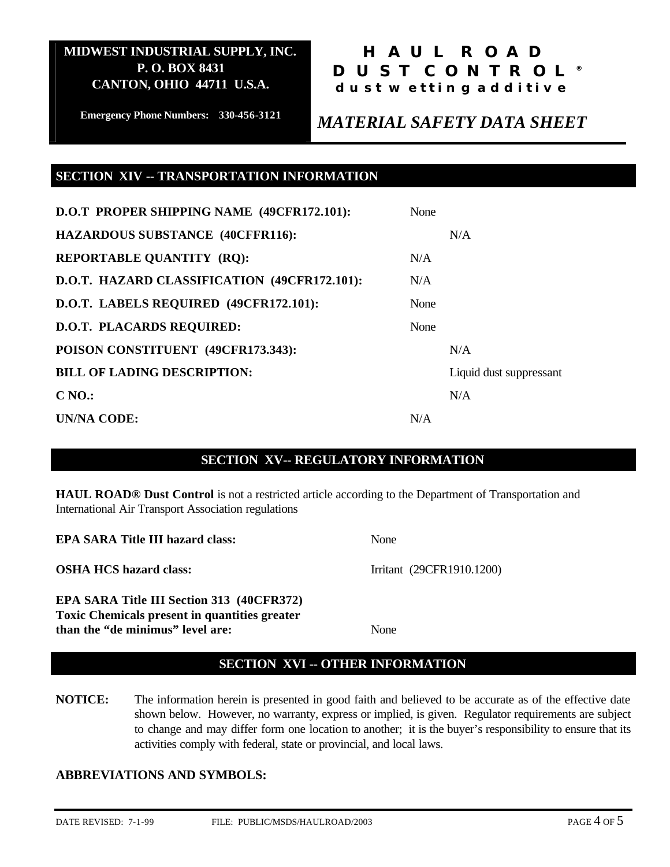## **HAUL ROAD DUST CONTROL® dust wetting additive**

**Emergency Phone Numbers: 330-456-3121**

## *MATERIAL SAFETY DATA SHEET*

#### **SECTION XIV -- TRANSPORTATION INFORMATION**

| D.O.T PROPER SHIPPING NAME (49CFR172.101):   | None |                         |
|----------------------------------------------|------|-------------------------|
| <b>HAZARDOUS SUBSTANCE (40CFFR116):</b>      |      | N/A                     |
| <b>REPORTABLE QUANTITY (RQ):</b>             | N/A  |                         |
| D.O.T. HAZARD CLASSIFICATION (49CFR172.101): | N/A  |                         |
| D.O.T. LABELS REQUIRED (49CFR172.101):       | None |                         |
| <b>D.O.T. PLACARDS REQUIRED:</b>             | None |                         |
| POISON CONSTITUENT (49CFR173.343):           |      | N/A                     |
| <b>BILL OF LADING DESCRIPTION:</b>           |      | Liquid dust suppressant |
| $CNO$ :                                      |      | N/A                     |
| UN/NA CODE:                                  | N/A  |                         |

#### **SECTION XV-- REGULATORY INFORMATION**

**HAUL ROAD® Dust Control** is not a restricted article according to the Department of Transportation and International Air Transport Association regulations

| <b>EPA SARA Title III hazard class:</b>                                                  | None                      |
|------------------------------------------------------------------------------------------|---------------------------|
| <b>OSHA HCS hazard class:</b>                                                            | Irritant (29CFR1910.1200) |
| <b>EPA SARA Title III Section 313 (40CFR372)</b>                                         |                           |
| <b>Toxic Chemicals present in quantities greater</b><br>than the "de minimus" level are: | <b>None</b>               |

### **SECTION XVI -- OTHER INFORMATION**

**NOTICE:** The information herein is presented in good faith and believed to be accurate as of the effective date shown below. However, no warranty, express or implied, is given. Regulator requirements are subject to change and may differ form one location to another; it is the buyer's responsibility to ensure that its activities comply with federal, state or provincial, and local laws.

#### **ABBREVIATIONS AND SYMBOLS:**